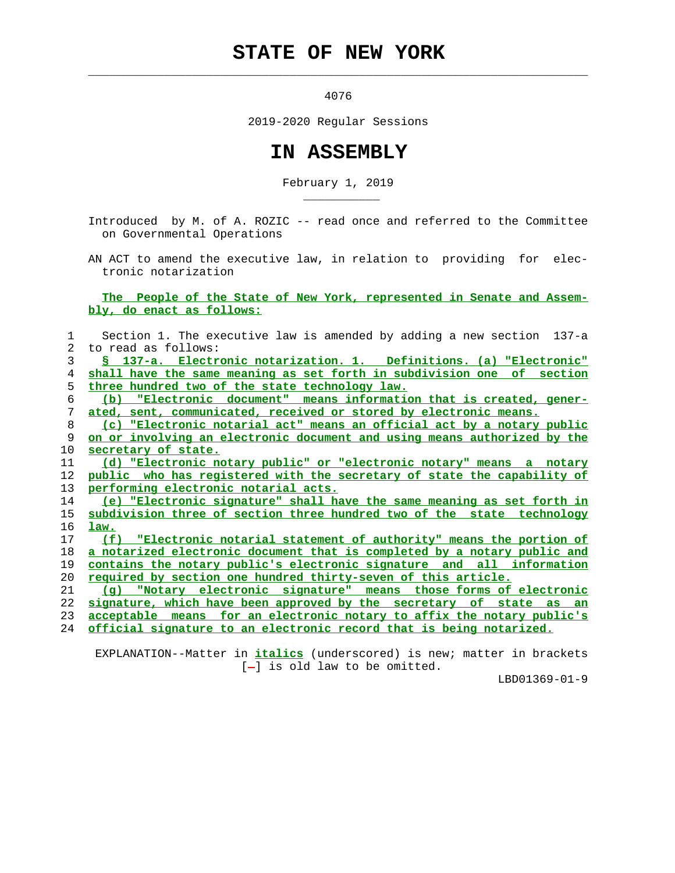## **STATE OF NEW YORK**

4076

 $\mathcal{L}_\text{max} = \frac{1}{2} \sum_{i=1}^{n} \frac{1}{2} \sum_{i=1}^{n} \frac{1}{2} \sum_{i=1}^{n} \frac{1}{2} \sum_{i=1}^{n} \frac{1}{2} \sum_{i=1}^{n} \frac{1}{2} \sum_{i=1}^{n} \frac{1}{2} \sum_{i=1}^{n} \frac{1}{2} \sum_{i=1}^{n} \frac{1}{2} \sum_{i=1}^{n} \frac{1}{2} \sum_{i=1}^{n} \frac{1}{2} \sum_{i=1}^{n} \frac{1}{2} \sum_{i=1}^{n} \frac{1$ 

\_\_\_\_\_\_\_\_\_\_\_

2019-2020 Regular Sessions

## **IN ASSEMBLY**

February 1, 2019

 Introduced by M. of A. ROZIC -- read once and referred to the Committee on Governmental Operations

 AN ACT to amend the executive law, in relation to providing for elec tronic notarization

 **The People of the State of New York, represented in Senate and Assem bly, do enact as follows:**

| 1  | Section 1. The executive law is amended by adding a new section 137-a      |
|----|----------------------------------------------------------------------------|
| 2  | to read as follows:                                                        |
| 3  | S 137-a. Electronic notarization. 1. Definitions. (a) "Electronic"         |
| 4  | shall have the same meaning as set forth in subdivision one of section     |
| 5  | three hundred two of the state technology law.                             |
| 6  | "Electronic document" means information that is created, gener-<br>(b)     |
| 7  | ated, sent, communicated, received or stored by electronic means.          |
| 8  | (c) "Electronic notarial act" means an official act by a notary public     |
| 9  | on or involving an electronic document and using means authorized by the   |
| 10 | secretary of state.                                                        |
| 11 | (d) "Electronic notary public" or "electronic notary" means a notary       |
| 12 | public who has registered with the secretary of state the capability of    |
| 13 | performing electronic notarial acts.                                       |
| 14 | (e) "Electronic signature" shall have the same meaning as set forth in     |
| 15 | subdivision three of section three hundred two of the state technology     |
| 16 | law.                                                                       |
| 17 | (f) "Electronic notarial statement of authority" means the portion of      |
| 18 | a notarized electronic document that is completed by a notary public and   |
| 19 | contains the notary public's electronic signature and all information      |
| 20 | <u>required by section one hundred thirty-seven of this article.</u>       |
| 21 | "Notary electronic signature" means those forms of electronic<br>(a)       |
| 22 | signature, which have been approved by the secretary of state as<br>an     |
| 23 | acceptable means for an electronic notary to affix the notary public's     |
| 24 | <u>official signature to an electronic record that is being notarized.</u> |
|    |                                                                            |

 EXPLANATION--Matter in **italics** (underscored) is new; matter in brackets  $[-]$  is old law to be omitted.

LBD01369-01-9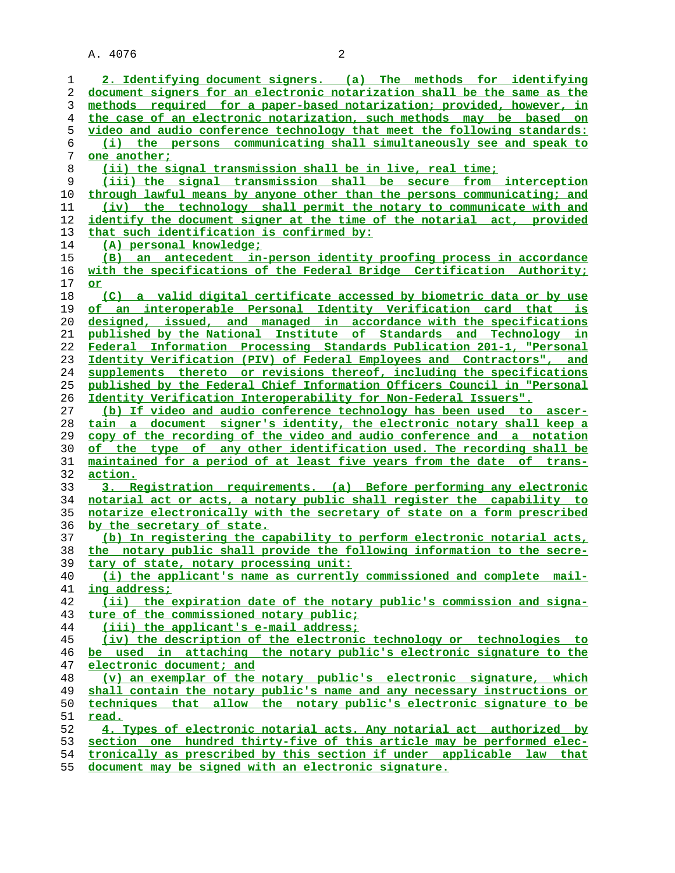A. 4076 2

**2. Identifying document signers. (a) The methods for identifying document signers for an electronic notarization shall be the same as the methods required for a paper-based notarization; provided, however, in the case of an electronic notarization, such methods may be based on video and audio conference technology that meet the following standards: (i) the persons communicating shall simultaneously see and speak to one another; (ii) the signal transmission shall be in live, real time; (iii) the signal transmission shall be secure from interception through lawful means by anyone other than the persons communicating; and (iv) the technology shall permit the notary to communicate with and identify the document signer at the time of the notarial act, provided that such identification is confirmed by: (A) personal knowledge; (B) an antecedent in-person identity proofing process in accordance with the specifications of the Federal Bridge Certification Authority; or (C) a valid digital certificate accessed by biometric data or by use of an interoperable Personal Identity Verification card that is designed, issued, and managed in accordance with the specifications published by the National Institute of Standards and Technology in Federal Information Processing Standards Publication 201-1, "Personal Identity Verification (PIV) of Federal Employees and Contractors", and supplements thereto or revisions thereof, including the specifications published by the Federal Chief Information Officers Council in "Personal Identity Verification Interoperability for Non-Federal Issuers". (b) If video and audio conference technology has been used to ascer- tain a document signer's identity, the electronic notary shall keep a copy of the recording of the video and audio conference and a notation of the type of any other identification used. The recording shall be maintained for a period of at least five years from the date of trans- action. 3. Registration requirements. (a) Before performing any electronic notarial act or acts, a notary public shall register the capability to notarize electronically with the secretary of state on a form prescribed by the secretary of state. (b) In registering the capability to perform electronic notarial acts, the notary public shall provide the following information to the secre- tary of state, notary processing unit: (i) the applicant's name as currently commissioned and complete mail- ing address; (ii) the expiration date of the notary public's commission and signa- ture of the commissioned notary public; (iii) the applicant's e-mail address; (iv) the description of the electronic technology or technologies to be used in attaching the notary public's electronic signature to the electronic document; and (v) an exemplar of the notary public's electronic signature, which shall contain the notary public's name and any necessary instructions or techniques that allow the notary public's electronic signature to be read. 4. Types of electronic notarial acts. Any notarial act authorized by section one hundred thirty-five of this article may be performed elec- tronically as prescribed by this section if under applicable law that document may be signed with an electronic signature.**